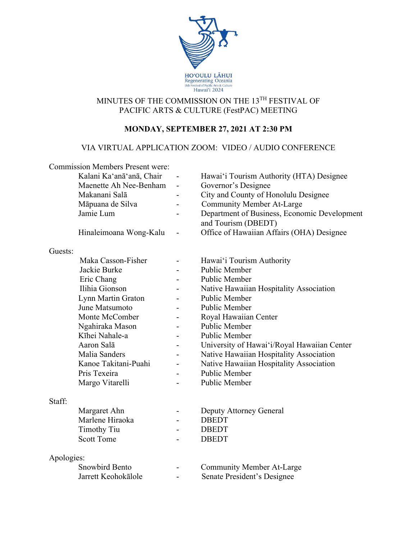

# MINUTES OF THE COMMISSION ON THE 13TH FESTIVAL OF PACIFIC ARTS & CULTURE (FestPAC) MEETING

# **MONDAY, SEPTEMBER 27, 2021 AT 2:30 PM**

## VIA VIRTUAL APPLICATION ZOOM: VIDEO / AUDIO CONFERENCE

|            | <b>Commission Members Present were:</b><br>Kalani Ka'anā'anā, Chair<br>Maenette Ah Nee-Benham<br>Makanani Salā<br>Māpuana de Silva | $\overline{\phantom{0}}$ | Hawai'i Tourism Authority (HTA) Designee<br>Governor's Designee<br>City and County of Honolulu Designee<br><b>Community Member At-Large</b> |
|------------|------------------------------------------------------------------------------------------------------------------------------------|--------------------------|---------------------------------------------------------------------------------------------------------------------------------------------|
|            | Jamie Lum                                                                                                                          |                          | Department of Business, Economic Development<br>and Tourism (DBEDT)                                                                         |
|            | Hinaleimoana Wong-Kalu                                                                                                             |                          | Office of Hawaiian Affairs (OHA) Designee                                                                                                   |
| Guests:    |                                                                                                                                    |                          |                                                                                                                                             |
|            | Maka Casson-Fisher                                                                                                                 |                          | Hawai'i Tourism Authority                                                                                                                   |
|            | Jackie Burke                                                                                                                       |                          | Public Member                                                                                                                               |
|            | Eric Chang                                                                                                                         |                          | Public Member                                                                                                                               |
|            | Ilihia Gionson                                                                                                                     |                          | Native Hawaiian Hospitality Association                                                                                                     |
|            | Lynn Martin Graton                                                                                                                 |                          | <b>Public Member</b>                                                                                                                        |
|            | June Matsumoto                                                                                                                     |                          | <b>Public Member</b>                                                                                                                        |
|            | Monte McComber                                                                                                                     |                          | Royal Hawaiian Center                                                                                                                       |
|            | Ngahiraka Mason                                                                                                                    |                          | <b>Public Member</b>                                                                                                                        |
|            | Kīhei Nahale-a                                                                                                                     |                          | Public Member                                                                                                                               |
|            | Aaron Salā                                                                                                                         |                          | University of Hawai'i/Royal Hawaiian Center                                                                                                 |
|            | Malia Sanders                                                                                                                      |                          | Native Hawaiian Hospitality Association                                                                                                     |
|            | Kanoe Takitani-Puahi                                                                                                               |                          | Native Hawaiian Hospitality Association                                                                                                     |
|            | Pris Texeira                                                                                                                       |                          | Public Member                                                                                                                               |
|            | Margo Vitarelli                                                                                                                    |                          | Public Member                                                                                                                               |
| Staff:     |                                                                                                                                    |                          |                                                                                                                                             |
|            | Margaret Ahn                                                                                                                       |                          | Deputy Attorney General                                                                                                                     |
|            | Marlene Hiraoka                                                                                                                    |                          | <b>DBEDT</b>                                                                                                                                |
|            | <b>Timothy Tiu</b>                                                                                                                 |                          | <b>DBEDT</b>                                                                                                                                |
|            | <b>Scott Tome</b>                                                                                                                  |                          | <b>DBEDT</b>                                                                                                                                |
| Apologies: |                                                                                                                                    |                          |                                                                                                                                             |
|            | <b>Snowbird Bento</b>                                                                                                              |                          | <b>Community Member At-Large</b>                                                                                                            |
|            | Jarrett Keohokālole                                                                                                                |                          | Senate President's Designee                                                                                                                 |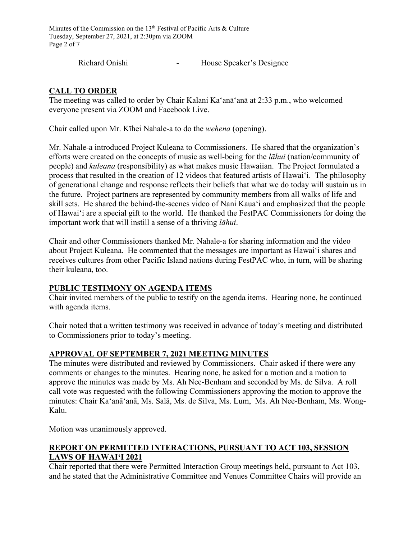Minutes of the Commission on the 13<sup>th</sup> Festival of Pacific Arts & Culture Tuesday, September 27, 2021, at 2:30pm via ZOOM Page 2 of 7

Richard Onishi - House Speaker's Designee

## **CALL TO ORDER**

The meeting was called to order by Chair Kalani Ka'anā'anā at 2:33 p.m., who welcomed everyone present via ZOOM and Facebook Live.

Chair called upon Mr. Kīhei Nahale-a to do the *wehena* (opening).

Mr. Nahale-a introduced Project Kuleana to Commissioners. He shared that the organization's efforts were created on the concepts of music as well-being for the *lāhui* (nation/community of people) and *kuleana* (responsibility) as what makes music Hawaiian. The Project formulated a process that resulted in the creation of 12 videos that featured artists of Hawaiʻi. The philosophy of generational change and response reflects their beliefs that what we do today will sustain us in the future. Project partners are represented by community members from all walks of life and skill sets. He shared the behind-the-scenes video of Nani Kauaʻi and emphasized that the people of Hawaiʻi are a special gift to the world. He thanked the FestPAC Commissioners for doing the important work that will instill a sense of a thriving *lāhui*.

Chair and other Commissioners thanked Mr. Nahale-a for sharing information and the video about Project Kuleana. He commented that the messages are important as Hawaiʻi shares and receives cultures from other Pacific Island nations during FestPAC who, in turn, will be sharing their kuleana, too.

## **PUBLIC TESTIMONY ON AGENDA ITEMS**

Chair invited members of the public to testify on the agenda items. Hearing none, he continued with agenda items.

Chair noted that a written testimony was received in advance of today's meeting and distributed to Commissioners prior to today's meeting.

## **APPROVAL OF SEPTEMBER 7, 2021 MEETING MINUTES**

The minutes were distributed and reviewed by Commissioners. Chair asked if there were any comments or changes to the minutes. Hearing none, he asked for a motion and a motion to approve the minutes was made by Ms. Ah Nee-Benham and seconded by Ms. de Silva. A roll call vote was requested with the following Commissioners approving the motion to approve the minutes: Chair Ka'anā'anā, Ms. Salā, Ms. de Silva, Ms. Lum, Ms. Ah Nee-Benham, Ms. Wong-Kalu.

Motion was unanimously approved.

## **REPORT ON PERMITTED INTERACTIONS, PURSUANT TO ACT 103, SESSION LAWS OF HAWAIʻI 2021**

Chair reported that there were Permitted Interaction Group meetings held, pursuant to Act 103, and he stated that the Administrative Committee and Venues Committee Chairs will provide an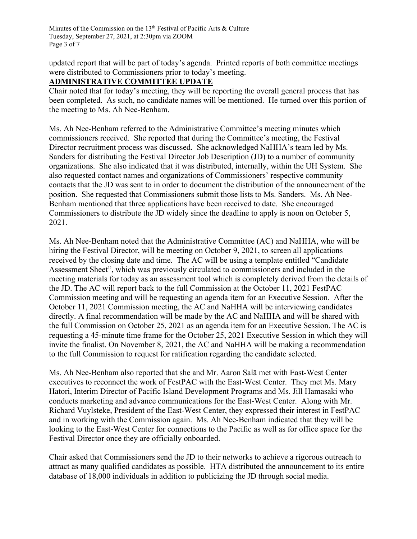Minutes of the Commission on the 13<sup>th</sup> Festival of Pacific Arts & Culture Tuesday, September 27, 2021, at 2:30pm via ZOOM Page 3 of 7

updated report that will be part of today's agenda. Printed reports of both committee meetings were distributed to Commissioners prior to today's meeting.

#### **ADMINISTRATIVE COMMITTEE UPDATE**

Chair noted that for today's meeting, they will be reporting the overall general process that has been completed. As such, no candidate names will be mentioned. He turned over this portion of the meeting to Ms. Ah Nee-Benham.

Ms. Ah Nee-Benham referred to the Administrative Committee's meeting minutes which commissioners received. She reported that during the Committee's meeting, the Festival Director recruitment process was discussed. She acknowledged NaHHA's team led by Ms. Sanders for distributing the Festival Director Job Description (JD) to a number of community organizations. She also indicated that it was distributed, internally, within the UH System. She also requested contact names and organizations of Commissioners' respective community contacts that the JD was sent to in order to document the distribution of the announcement of the position. She requested that Commissioners submit those lists to Ms. Sanders. Ms. Ah Nee-Benham mentioned that three applications have been received to date. She encouraged Commissioners to distribute the JD widely since the deadline to apply is noon on October 5, 2021.

Ms. Ah Nee-Benham noted that the Administrative Committee (AC) and NaHHA, who will be hiring the Festival Director, will be meeting on October 9, 2021, to screen all applications received by the closing date and time. The AC will be using a template entitled "Candidate Assessment Sheet", which was previously circulated to commissioners and included in the meeting materials for today as an assessment tool which is completely derived from the details of the JD. The AC will report back to the full Commission at the October 11, 2021 FestPAC Commission meeting and will be requesting an agenda item for an Executive Session. After the October 11, 2021 Commission meeting, the AC and NaHHA will be interviewing candidates directly. A final recommendation will be made by the AC and NaHHA and will be shared with the full Commission on October 25, 2021 as an agenda item for an Executive Session. The AC is requesting a 45-minute time frame for the October 25, 2021 Executive Session in which they will invite the finalist. On November 8, 2021, the AC and NaHHA will be making a recommendation to the full Commission to request for ratification regarding the candidate selected.

Ms. Ah Nee-Benham also reported that she and Mr. Aaron Salā met with East-West Center executives to reconnect the work of FestPAC with the East-West Center. They met Ms. Mary Hatori, Interim Director of Pacific Island Development Programs and Ms. Jill Hamasaki who conducts marketing and advance communications for the East-West Center. Along with Mr. Richard Vuylsteke, President of the East-West Center, they expressed their interest in FestPAC and in working with the Commission again. Ms. Ah Nee-Benham indicated that they will be looking to the East-West Center for connections to the Pacific as well as for office space for the Festival Director once they are officially onboarded.

Chair asked that Commissioners send the JD to their networks to achieve a rigorous outreach to attract as many qualified candidates as possible. HTA distributed the announcement to its entire database of 18,000 individuals in addition to publicizing the JD through social media.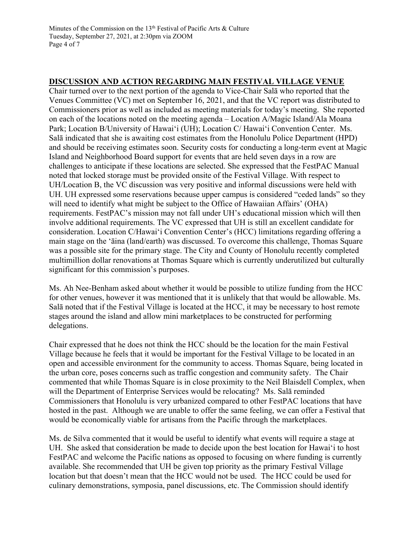### **DISCUSSION AND ACTION REGARDING MAIN FESTIVAL VILLAGE VENUE**

Chair turned over to the next portion of the agenda to Vice-Chair Salā who reported that the Venues Committee (VC) met on September 16, 2021, and that the VC report was distributed to Commissioners prior as well as included as meeting materials for today's meeting. She reported on each of the locations noted on the meeting agenda – Location A/Magic Island/Ala Moana Park; Location B/University of Hawaiʻi (UH); Location C/ Hawaiʻi Convention Center. Ms. Salā indicated that she is awaiting cost estimates from the Honolulu Police Department (HPD) and should be receiving estimates soon. Security costs for conducting a long-term event at Magic Island and Neighborhood Board support for events that are held seven days in a row are challenges to anticipate if these locations are selected. She expressed that the FestPAC Manual noted that locked storage must be provided onsite of the Festival Village. With respect to UH/Location B, the VC discussion was very positive and informal discussions were held with UH. UH expressed some reservations because upper campus is considered "ceded lands" so they will need to identify what might be subject to the Office of Hawaiian Affairs' (OHA) requirements. FestPAC's mission may not fall under UH's educational mission which will then involve additional requirements. The VC expressed that UH is still an excellent candidate for consideration. Location C/Hawaiʻi Convention Center's (HCC) limitations regarding offering a main stage on the 'āina (land/earth) was discussed. To overcome this challenge, Thomas Square was a possible site for the primary stage. The City and County of Honolulu recently completed multimillion dollar renovations at Thomas Square which is currently underutilized but culturally significant for this commission's purposes.

Ms. Ah Nee-Benham asked about whether it would be possible to utilize funding from the HCC for other venues, however it was mentioned that it is unlikely that that would be allowable. Ms. Salā noted that if the Festival Village is located at the HCC, it may be necessary to host remote stages around the island and allow mini marketplaces to be constructed for performing delegations.

Chair expressed that he does not think the HCC should be the location for the main Festival Village because he feels that it would be important for the Festival Village to be located in an open and accessible environment for the community to access. Thomas Square, being located in the urban core, poses concerns such as traffic congestion and community safety. The Chair commented that while Thomas Square is in close proximity to the Neil Blaisdell Complex, when will the Department of Enterprise Services would be relocating? Ms. Salā reminded Commissioners that Honolulu is very urbanized compared to other FestPAC locations that have hosted in the past. Although we are unable to offer the same feeling, we can offer a Festival that would be economically viable for artisans from the Pacific through the marketplaces.

Ms. de Silva commented that it would be useful to identify what events will require a stage at UH. She asked that consideration be made to decide upon the best location for Hawaiʻi to host FestPAC and welcome the Pacific nations as opposed to focusing on where funding is currently available. She recommended that UH be given top priority as the primary Festival Village location but that doesn't mean that the HCC would not be used. The HCC could be used for culinary demonstrations, symposia, panel discussions, etc. The Commission should identify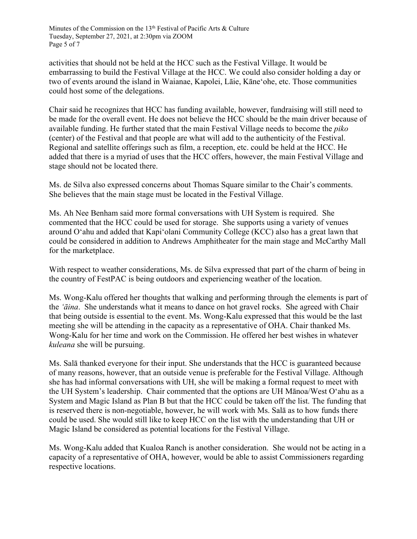activities that should not be held at the HCC such as the Festival Village. It would be embarrassing to build the Festival Village at the HCC. We could also consider holding a day or two of events around the island in Waianae, Kapolei, Lāie, Kāneʻohe, etc. Those communities could host some of the delegations.

Chair said he recognizes that HCC has funding available, however, fundraising will still need to be made for the overall event. He does not believe the HCC should be the main driver because of available funding. He further stated that the main Festival Village needs to become the *piko* (center) of the Festival and that people are what will add to the authenticity of the Festival. Regional and satellite offerings such as film, a reception, etc. could be held at the HCC. He added that there is a myriad of uses that the HCC offers, however, the main Festival Village and stage should not be located there.

Ms. de Silva also expressed concerns about Thomas Square similar to the Chair's comments. She believes that the main stage must be located in the Festival Village.

Ms. Ah Nee Benham said more formal conversations with UH System is required. She commented that the HCC could be used for storage. She supports using a variety of venues around Oʻahu and added that Kapiʻolani Community College (KCC) also has a great lawn that could be considered in addition to Andrews Amphitheater for the main stage and McCarthy Mall for the marketplace.

With respect to weather considerations, Ms. de Silva expressed that part of the charm of being in the country of FestPAC is being outdoors and experiencing weather of the location.

Ms. Wong-Kalu offered her thoughts that walking and performing through the elements is part of the *ʻāina*. She understands what it means to dance on hot gravel rocks. She agreed with Chair that being outside is essential to the event. Ms. Wong-Kalu expressed that this would be the last meeting she will be attending in the capacity as a representative of OHA. Chair thanked Ms. Wong-Kalu for her time and work on the Commission. He offered her best wishes in whatever *kuleana* she will be pursuing.

Ms. Salā thanked everyone for their input. She understands that the HCC is guaranteed because of many reasons, however, that an outside venue is preferable for the Festival Village. Although she has had informal conversations with UH, she will be making a formal request to meet with the UH System's leadership. Chair commented that the options are UH Mānoa/West Oʻahu as a System and Magic Island as Plan B but that the HCC could be taken off the list. The funding that is reserved there is non-negotiable, however, he will work with Ms. Salā as to how funds there could be used. She would still like to keep HCC on the list with the understanding that UH or Magic Island be considered as potential locations for the Festival Village.

Ms. Wong-Kalu added that Kualoa Ranch is another consideration. She would not be acting in a capacity of a representative of OHA, however, would be able to assist Commissioners regarding respective locations.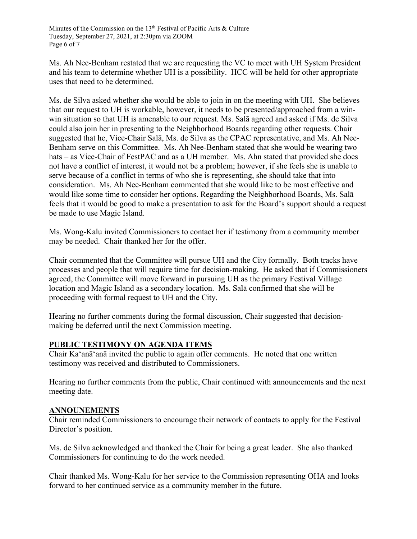Ms. Ah Nee-Benham restated that we are requesting the VC to meet with UH System President and his team to determine whether UH is a possibility. HCC will be held for other appropriate uses that need to be determined.

Ms. de Silva asked whether she would be able to join in on the meeting with UH. She believes that our request to UH is workable, however, it needs to be presented/approached from a winwin situation so that UH is amenable to our request. Ms. Salā agreed and asked if Ms. de Silva could also join her in presenting to the Neighborhood Boards regarding other requests. Chair suggested that he, Vice-Chair Salā, Ms. de Silva as the CPAC representative, and Ms. Ah Nee-Benham serve on this Committee. Ms. Ah Nee-Benham stated that she would be wearing two hats – as Vice-Chair of FestPAC and as a UH member. Ms. Ahn stated that provided she does not have a conflict of interest, it would not be a problem; however, if she feels she is unable to serve because of a conflict in terms of who she is representing, she should take that into consideration. Ms. Ah Nee-Benham commented that she would like to be most effective and would like some time to consider her options. Regarding the Neighborhood Boards, Ms. Salā feels that it would be good to make a presentation to ask for the Board's support should a request be made to use Magic Island.

Ms. Wong-Kalu invited Commissioners to contact her if testimony from a community member may be needed. Chair thanked her for the offer.

Chair commented that the Committee will pursue UH and the City formally. Both tracks have processes and people that will require time for decision-making. He asked that if Commissioners agreed, the Committee will move forward in pursuing UH as the primary Festival Village location and Magic Island as a secondary location. Ms. Salā confirmed that she will be proceeding with formal request to UH and the City.

Hearing no further comments during the formal discussion, Chair suggested that decisionmaking be deferred until the next Commission meeting.

## **PUBLIC TESTIMONY ON AGENDA ITEMS**

Chair Ka'anā'anā invited the public to again offer comments. He noted that one written testimony was received and distributed to Commissioners.

Hearing no further comments from the public, Chair continued with announcements and the next meeting date.

## **ANNOUNEMENTS**

Chair reminded Commissioners to encourage their network of contacts to apply for the Festival Director's position.

Ms. de Silva acknowledged and thanked the Chair for being a great leader. She also thanked Commissioners for continuing to do the work needed.

Chair thanked Ms. Wong-Kalu for her service to the Commission representing OHA and looks forward to her continued service as a community member in the future.